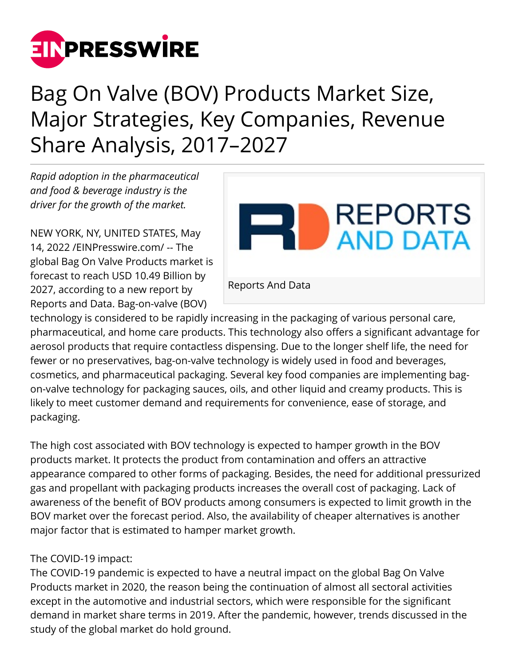

## Bag On Valve (BOV) Products Market Size, Major Strategies, Key Companies, Revenue Share Analysis, 2017–2027

*Rapid adoption in the pharmaceutical and food & beverage industry is the driver for the growth of the market.*

NEW YORK, NY, UNITED STATES, May 14, 2022 /[EINPresswire.com/](http://www.einpresswire.com) -- The global Bag On Valve Products market is forecast to reach USD 10.49 Billion by 2027, according to a new report by Reports and Data. Bag-on-valve (BOV)



technology is considered to be rapidly increasing in the packaging of various personal care, pharmaceutical, and home care products. This technology also offers a significant advantage for aerosol products that require contactless dispensing. Due to the longer shelf life, the need for fewer or no preservatives, bag-on-valve technology is widely used in food and beverages, cosmetics, and pharmaceutical packaging. Several key food companies are implementing bagon-valve technology for packaging sauces, oils, and other liquid and creamy products. This is likely to meet customer demand and requirements for convenience, ease of storage, and packaging.

The high cost associated with BOV technology is expected to hamper growth in the BOV products market. It protects the product from contamination and offers an attractive appearance compared to other forms of packaging. Besides, the need for additional pressurized gas and propellant with packaging products increases the overall cost of packaging. Lack of awareness of the benefit of BOV products among consumers is expected to limit growth in the BOV market over the forecast period. Also, the availability of cheaper alternatives is another major factor that is estimated to hamper market growth.

## The COVID-19 impact:

The COVID-19 pandemic is expected to have a neutral impact on the global Bag On Valve Products market in 2020, the reason being the continuation of almost all sectoral activities except in the automotive and industrial sectors, which were responsible for the significant demand in market share terms in 2019. After the pandemic, however, trends discussed in the study of the global market do hold ground.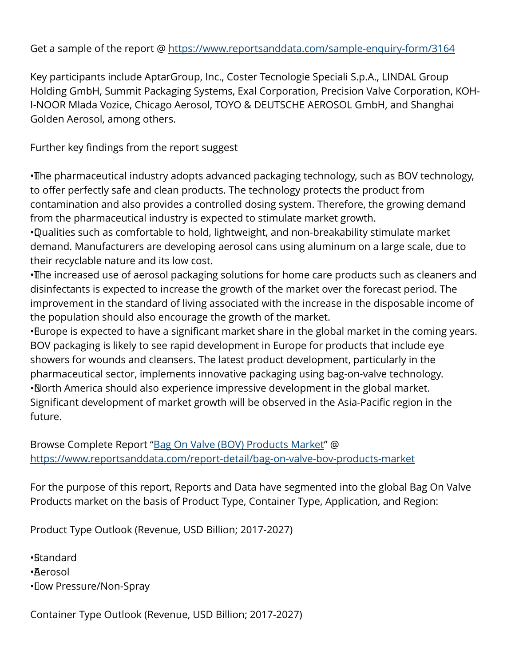Get a sample of the report @<https://www.reportsanddata.com/sample-enquiry-form/3164>

Key participants include AptarGroup, Inc., Coster Tecnologie Speciali S.p.A., LINDAL Group Holding GmbH, Summit Packaging Systems, Exal Corporation, Precision Valve Corporation, KOH-I-NOOR Mlada Vozice, Chicago Aerosol, TOYO & DEUTSCHE AEROSOL GmbH, and Shanghai Golden Aerosol, among others.

Further key findings from the report suggest

• The pharmaceutical industry adopts advanced packaging technology, such as BOV technology, to offer perfectly safe and clean products. The technology protects the product from contamination and also provides a controlled dosing system. Therefore, the growing demand from the pharmaceutical industry is expected to stimulate market growth.

• Qualities such as comfortable to hold, lightweight, and non-breakability stimulate market demand. Manufacturers are developing aerosol cans using aluminum on a large scale, due to their recyclable nature and its low cost.

• The increased use of aerosol packaging solutions for home care products such as cleaners and disinfectants is expected to increase the growth of the market over the forecast period. The improvement in the standard of living associated with the increase in the disposable income of the population should also encourage the growth of the market.

• Burope is expected to have a significant market share in the global market in the coming years. BOV packaging is likely to see rapid development in Europe for products that include eye showers for wounds and cleansers. The latest product development, particularly in the pharmaceutical sector, implements innovative packaging using bag-on-valve technology. • North America should also experience impressive development in the global market. Significant development of market growth will be observed in the Asia-Pacific region in the future.

Browse Complete Report "[Bag On Valve \(BOV\) Products Market](https://www.reportsanddata.com/report-detail/bag-on-valve-bov-products-market)" @ <https://www.reportsanddata.com/report-detail/bag-on-valve-bov-products-market>

For the purpose of this report, Reports and Data have segmented into the global Bag On Valve Products market on the basis of Product Type, Container Type, Application, and Region:

Product Type Outlook (Revenue, USD Billion; 2017-2027)

• Standard • Aerosol • Low Pressure/Non-Spray

Container Type Outlook (Revenue, USD Billion; 2017-2027)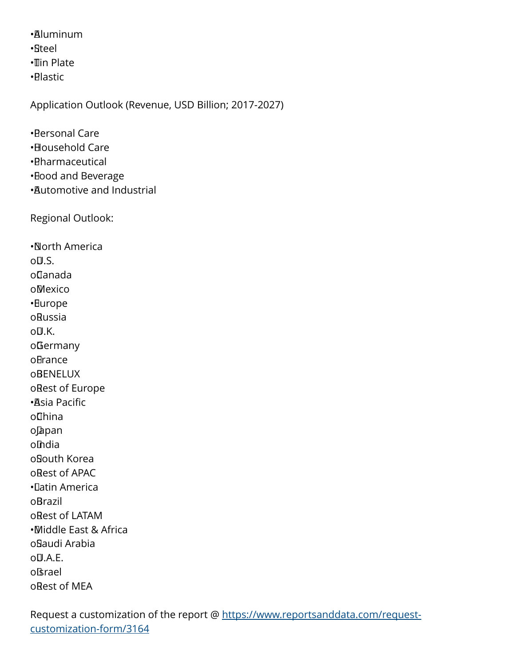• Aluminum

• Steel

• Tin Plate

• Plastic

Application Outlook (Revenue, USD Billion; 2017-2027)

• Personal Care

- • Household Care
- • Pharmaceutical
- • Food and Beverage
- • Automotive and Industrial

Regional Outlook:

• North America  $O(1.5)$ . o Canada o Mexico • Europe o Russia o<sub>U</sub>.K. o Germany oBrance **oBENELUX** oRest of Europe • Asia Pacific o China o Japan o India o South Korea o Rest of APAC • Latin America **o**Brazil o Rest of LATAM • Middle East & Africa o Saudi Arabia  $OULA.F.$ o Israel o Rest of MEA

Request a customization of the report @ [https://www.reportsanddata.com/request](https://www.reportsanddata.com/request-customization-form/3164)[customization-form/3164](https://www.reportsanddata.com/request-customization-form/3164)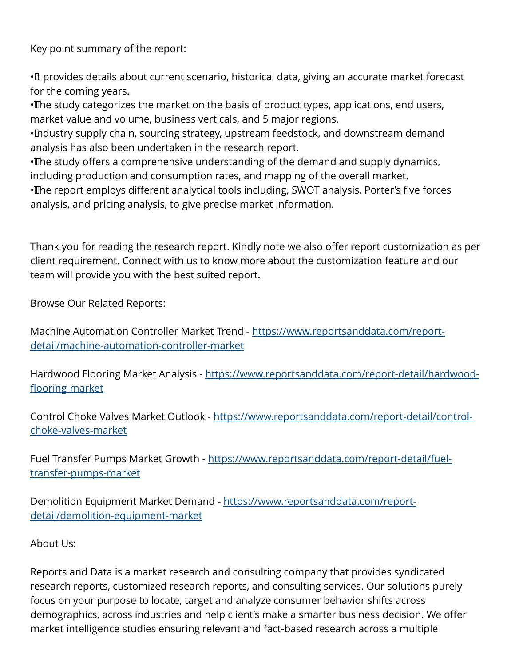Key point summary of the report:

• It provides details about current scenario, historical data, giving an accurate market forecast for the coming years.

• The study categorizes the market on the basis of product types, applications, end users, market value and volume, business verticals, and 5 major regions.

• Industry supply chain, sourcing strategy, upstream feedstock, and downstream demand analysis has also been undertaken in the research report.

• The study offers a comprehensive understanding of the demand and supply dynamics, including production and consumption rates, and mapping of the overall market.

• The report employs different analytical tools including, SWOT analysis, Porter's five forces analysis, and pricing analysis, to give precise market information.

Thank you for reading the research report. Kindly note we also offer report customization as per client requirement. Connect with us to know more about the customization feature and our team will provide you with the best suited report.

Browse Our Related Reports:

Machine Automation Controller Market Trend - [https://www.reportsanddata.com/report](https://www.reportsanddata.com/report-detail/machine-automation-controller-market)[detail/machine-automation-controller-market](https://www.reportsanddata.com/report-detail/machine-automation-controller-market)

Hardwood Flooring Market Analysis - [https://www.reportsanddata.com/report-detail/hardwood](https://www.reportsanddata.com/report-detail/hardwood-flooring-market)[flooring-market](https://www.reportsanddata.com/report-detail/hardwood-flooring-market)

Control Choke Valves Market Outlook - [https://www.reportsanddata.com/report-detail/control](https://www.reportsanddata.com/report-detail/control-choke-valves-market)[choke-valves-market](https://www.reportsanddata.com/report-detail/control-choke-valves-market)

Fuel Transfer Pumps Market Growth - [https://www.reportsanddata.com/report-detail/fuel](https://www.reportsanddata.com/report-detail/fuel-transfer-pumps-market)[transfer-pumps-market](https://www.reportsanddata.com/report-detail/fuel-transfer-pumps-market)

Demolition Equipment Market Demand - [https://www.reportsanddata.com/report](https://www.reportsanddata.com/report-detail/demolition-equipment-market)[detail/demolition-equipment-market](https://www.reportsanddata.com/report-detail/demolition-equipment-market)

About Us:

Reports and Data is a market research and consulting company that provides syndicated research reports, customized research reports, and consulting services. Our solutions purely focus on your purpose to locate, target and analyze consumer behavior shifts across demographics, across industries and help client's make a smarter business decision. We offer market intelligence studies ensuring relevant and fact-based research across a multiple